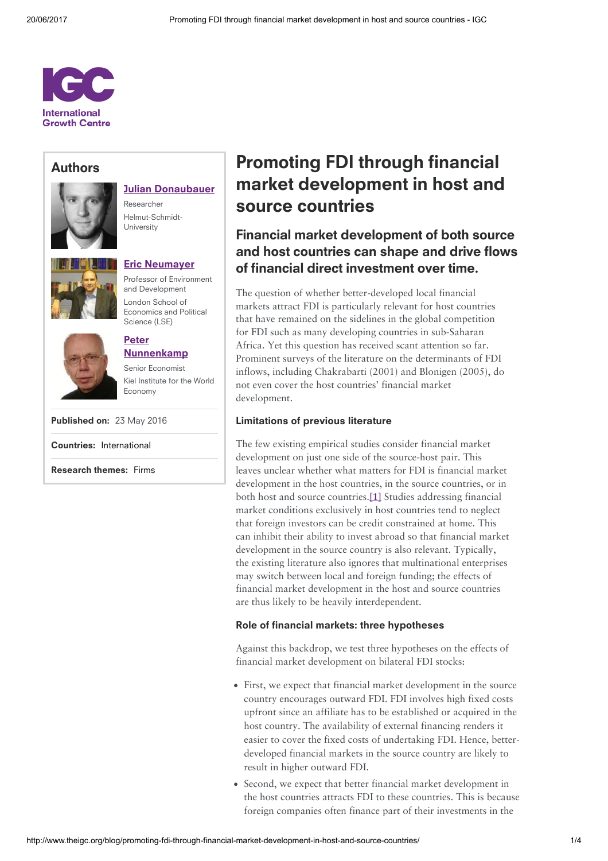

# Authors



| <b>Julian Donaubauer</b> |
|--------------------------|
|                          |

Researcher Helmut-Schmidt-University



Eric [Neumayer](http://www.theigc.org/person/eric-neumayer/) Professor of Environment and Development London School of Economics and Political Science (LSE)



[Nunnenkamp](http://www.theigc.org/person/peter-nunnenkamp/) Senior Economist Kiel Institute for the World Economy

Peter

Published on: 23 May 2016

Countries: [International](http://www.theigc.org/search/?hidden-s&select-country-cat%5B0%5D=international)

Research themes: [Firms](http://www.theigc.org/search/?hidden-s&select-research-themes%5B0%5D=firms)

# Promoting FDI through financial market development in host and source countries

# Financial market development of both source and host countries can shape and drive flows of financial direct investment over time.

The question of whether better-developed local financial markets attract FDI is particularly relevant for host countries that have remained on the sidelines in the global competition for FDI such as many developing countries in sub-Saharan Africa. Yet this question has received scant attention so far. Prominent surveys of the literature on the determinants of FDI inflows, including Chakrabarti (2001) and Blonigen (2005), do not even cover the host countries' financial market development.

## Limitations of previous literature

<span id="page-0-0"></span>The few existing empirical studies consider financial market development on just one side of the source-host pair. This leaves unclear whether what matters for FDI is financial market development in the host countries, in the source countries, or in both host and source countries.[\[1\]](#page-3-0) Studies addressing financial market conditions exclusively in host countries tend to neglect that foreign investors can be credit constrained at home. This can inhibit their ability to invest abroad so that financial market development in the source country is also relevant. Typically, the existing literature also ignores that multinational enterprises may switch between local and foreign funding; the effects of financial market development in the host and source countries are thus likely to be heavily interdependent.

### Role of financial markets: three hypotheses

Against this backdrop, we test three hypotheses on the effects of financial market development on bilateral FDI stocks:

- First, we expect that financial market development in the source country encourages outward FDI. FDI involves high fixed costs upfront since an affiliate has to be established or acquired in the host country. The availability of external financing renders it easier to cover the fixed costs of undertaking FDI. Hence, betterdeveloped financial markets in the source country are likely to result in higher outward FDI.
- Second, we expect that better financial market development in the host countries attracts FDI to these countries. This is because foreign companies often finance part of their investments in the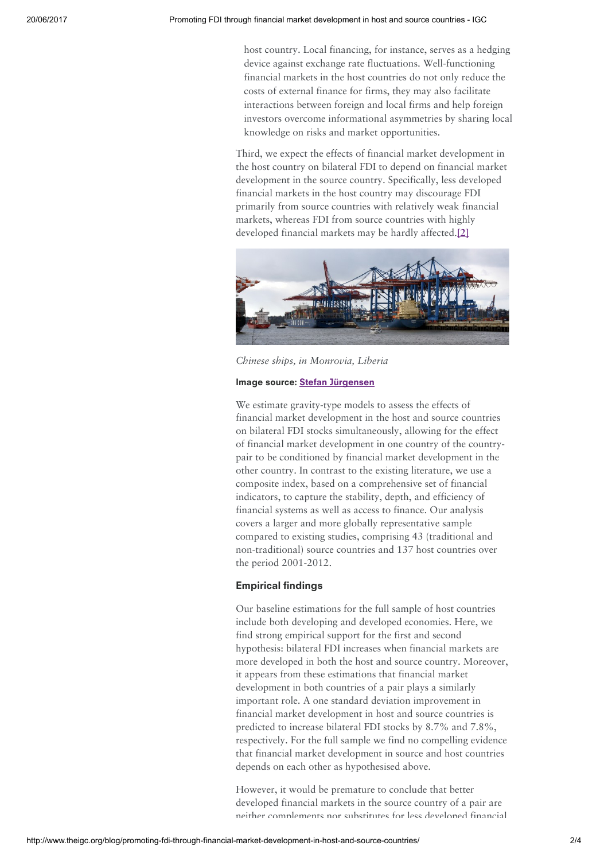host country. Local financing, for instance, serves as a hedging device against exchange rate fluctuations. Well-functioning financial markets in the host countries do not only reduce the costs of external finance for firms, they may also facilitate interactions between foreign and local firms and help foreign investors overcome informational asymmetries by sharing local knowledge on risks and market opportunities.

Third, we expect the effects of financial market development in the host country on bilateral FDI to depend on financial market development in the source country. Specifically, less developed financial markets in the host country may discourage FDI primarily from source countries with relatively weak financial markets, whereas FDI from source countries with highly developed financial markets may be hardly affected.[2]



Chinese ships, in Monrovia, Liberia

#### Image source: Stefan [Jürgensen](https://www.flickr.com/photos/94039982@N00/)

We estimate gravity-type models to assess the effects of financial market development in the host and source countries on bilateral FDI stocks simultaneously, allowing for the effect of financial market development in one country of the countrypair to be conditioned by financial market development in the other country. In contrast to the existing literature, we use a composite index, based on a comprehensive set of financial indicators, to capture the stability, depth, and efficiency of financial systems as well as access to finance. Our analysis covers a larger and more globally representative sample compared to existing studies, comprising 43 (traditional and non-traditional) source countries and 137 host countries over the period 2001-2012.

### Empirical findings

Our baseline estimations for the full sample of host countries include both developing and developed economies. Here, we find strong empirical support for the first and second hypothesis: bilateral FDI increases when financial markets are more developed in both the host and source country. Moreover, it appears from these estimations that financial market development in both countries of a pair plays a similarly important role. A one standard deviation improvement in financial market development in host and source countries is predicted to increase bilateral FDI stocks by 8.7% and 7.8%, respectively. For the full sample we find no compelling evidence that financial market development in source and host countries depends on each other as hypothesised above.

However, it would be premature to conclude that better developed financial markets in the source country of a pair are neither complements nor substitutes for less developed financial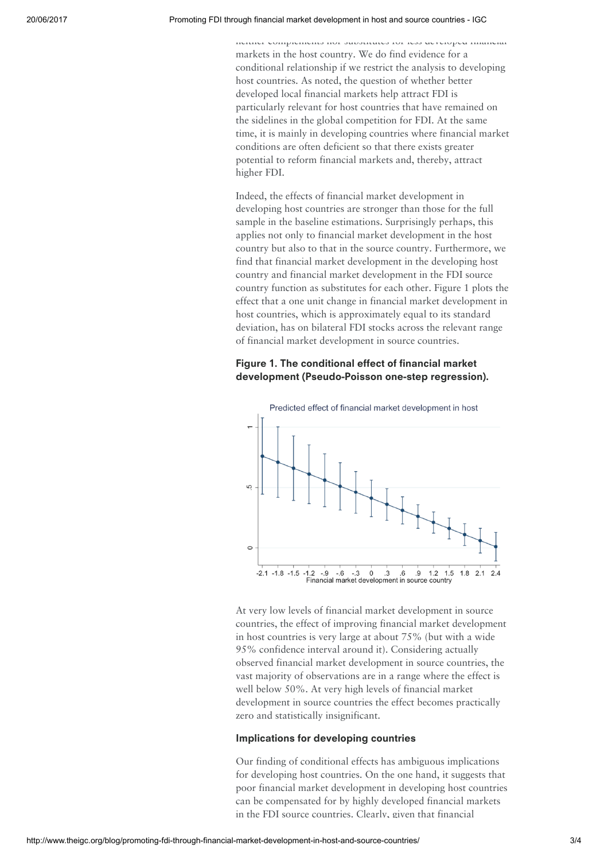#### 20/06/2017 Promoting FDI through financial market development in host and source countries - IGC

neither complements nor substitutes for less developed financial markets in the host country. We do find evidence for a conditional relationship if we restrict the analysis to developing host countries. As noted, the question of whether better developed local financial markets help attract FDI is particularly relevant for host countries that have remained on the sidelines in the global competition for FDI. At the same time, it is mainly in developing countries where financial market conditions are often deficient so that there exists greater potential to reform financial markets and, thereby, attract higher FDI.

Indeed, the effects of financial market development in developing host countries are stronger than those for the full sample in the baseline estimations. Surprisingly perhaps, this applies not only to financial market development in the host country but also to that in the source country. Furthermore, we find that financial market development in the developing host country and financial market development in the FDI source country function as substitutes for each other. Figure 1 plots the effect that a one unit change in financial market development in host countries, which is approximately equal to its standard deviation, has on bilateral FDI stocks across the relevant range of financial market development in source countries.

## Figure 1. The conditional effect of financial market development (Pseudo-Poisson one-step regression).



At very low levels of financial market development in source countries, the effect of improving financial market development in host countries is very large at about 75% (but with a wide 95% confidence interval around it). Considering actually observed financial market development in source countries, the vast majority of observations are in a range where the effect is well below 50%. At very high levels of financial market development in source countries the effect becomes practically zero and statistically insignificant.

#### Implications for developing countries

Our finding of conditional effects has ambiguous implications for developing host countries. On the one hand, it suggests that poor financial market development in developing host countries can be compensated for by highly developed financial markets in the FDI source countries. Clearly, given that financial